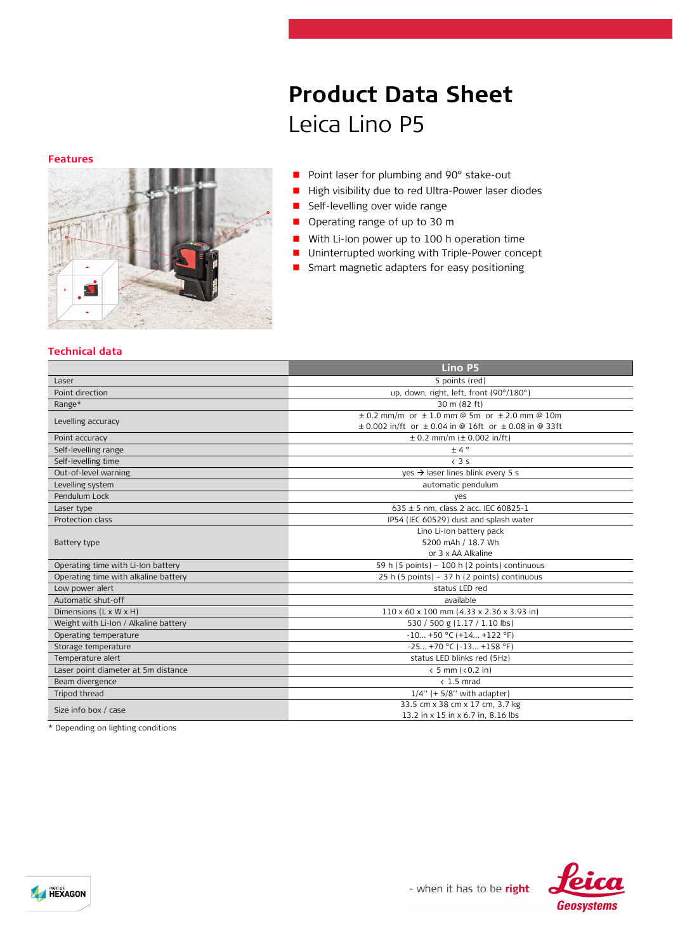# **Product Data Sheet** Leica Lino P5

### **Features**



- **Point laser for plumbing and 90° stake-out**
- High visibility due to red Ultra-Power laser diodes
- Self-levelling over wide range
- Operating range of up to 30 m
- With Li-Ion power up to 100 h operation time
- Uninterrupted working with Triple-Power concept
- **B** Smart magnetic adapters for easy positioning

#### **Technical data**

|                                       | Lino P5                                                           |
|---------------------------------------|-------------------------------------------------------------------|
| Laser                                 | 5 points (red)                                                    |
| Point direction                       | up, down, right, left, front (90°/180°)                           |
| Range*                                | 30 m (82 ft)                                                      |
| Levelling accuracy                    | $\pm$ 0.2 mm/m or $\pm$ 1.0 mm @ 5m or $\pm$ 2.0 mm @ 10m         |
|                                       | $\pm$ 0.002 in/ft or $\pm$ 0.04 in @ 16ft or $\pm$ 0.08 in @ 33ft |
| Point accuracy                        | $\pm$ 0.2 mm/m ( $\pm$ 0.002 in/ft)                               |
| Self-levelling range                  | ±4°                                                               |
| Self-levelling time                   | $\langle$ 3 s                                                     |
| Out-of-level warning                  | $ves$ $\rightarrow$ laser lines blink every 5 s                   |
| Levelling system                      | automatic pendulum                                                |
| Pendulum Lock                         | yes                                                               |
| Laser type                            | $635 \pm 5$ nm, class 2 acc. IEC 60825-1                          |
| Protection class                      | IP54 (IEC 60529) dust and splash water                            |
| Battery type                          | Lino Li-Ion battery pack                                          |
|                                       | 5200 mAh / 18.7 Wh                                                |
|                                       | or 3 x AA Alkaline                                                |
| Operating time with Li-Ion battery    | 59 h (5 points) - 100 h (2 points) continuous                     |
| Operating time with alkaline battery  | 25 h (5 points) - 37 h (2 points) continuous                      |
| Low power alert                       | status LED red                                                    |
| Automatic shut-off                    | available                                                         |
| Dimensions (L x W x H)                | 110 x 60 x 100 mm (4.33 x 2.36 x 3.93 in)                         |
| Weight with Li-Ion / Alkaline battery | 530 / 500 g (1.17 / 1.10 lbs)                                     |
| Operating temperature                 | $-10+50$ °C (+14 +122 °F)                                         |
| Storage temperature                   | $-25 + 70$ °C ( $-13 + 158$ °F)                                   |
| Temperature alert                     | status LED blinks red (5Hz)                                       |
| Laser point diameter at 5m distance   | $\langle 5 \text{ mm } (\langle 0.2 \text{ in } )$                |
| Beam divergence                       | $< 1.5$ mrad                                                      |
| Tripod thread                         | $1/4$ " (+ 5/8" with adapter)                                     |
| Size info box / case                  | 33.5 cm x 38 cm x 17 cm, 3.7 kg                                   |
|                                       | 13.2 in x 15 in x 6.7 in, 8.16 lbs                                |

\* Depending on lighting conditions

**A HEXAGON**